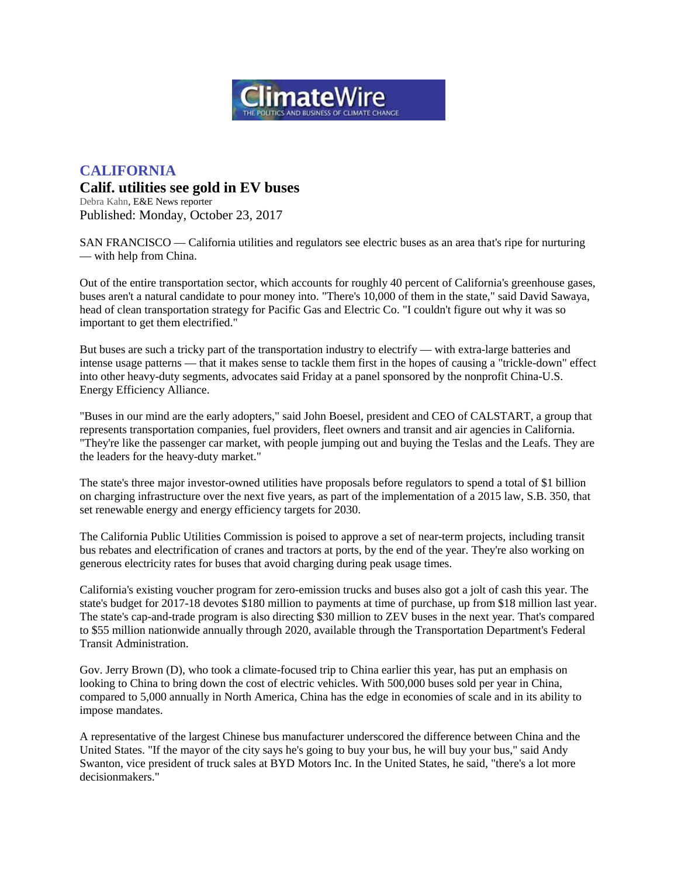

## **CALIFORNIA**

## **Calif. utilities see gold in EV buses**

[Debra Kahn,](https://www.eenews.net/staff/Debra_Kahn) E&E News reporter Published: Monday, October 23, 2017

SAN FRANCISCO — California utilities and regulators see electric buses as an area that's ripe for nurturing — with help from China.

Out of the entire transportation sector, which accounts for roughly 40 percent of California's greenhouse gases, buses aren't a natural candidate to pour money into. "There's 10,000 of them in the state," said David Sawaya, head of clean transportation strategy for Pacific Gas and Electric Co. "I couldn't figure out why it was so important to get them electrified."

But buses are such a tricky part of the transportation industry to electrify — with extra-large batteries and intense usage patterns — that it makes sense to tackle them first in the hopes of causing a "trickle-down" effect into other heavy-duty segments, advocates said Friday at a panel sponsored by the nonprofit China-U.S. Energy Efficiency Alliance.

"Buses in our mind are the early adopters," said John Boesel, president and CEO of CALSTART, a group that represents transportation companies, fuel providers, fleet owners and transit and air agencies in California. "They're like the passenger car market, with people jumping out and buying the Teslas and the Leafs. They are the leaders for the heavy-duty market."

The state's three major investor-owned utilities have proposals before regulators to spend a total of \$1 billion on charging infrastructure over the next five years, as part of the implementation of a 2015 law, S.B. 350, that set renewable energy and energy efficiency targets for 2030.

The California Public Utilities Commission is poised to approve a set of near-term projects, including transit bus rebates and electrification of cranes and tractors at ports, by the end of the year. They're also working on generous electricity rates for buses that avoid charging during peak usage times.

California's existing voucher program for zero-emission trucks and buses also got a jolt of cash this year. The state's budget for 2017-18 devotes \$180 million to payments at time of purchase, up from \$18 million last year. The state's cap-and-trade program is also directing \$30 million to ZEV buses in the next year. That's compared to \$55 million nationwide annually through 2020, available through the Transportation Department's Federal Transit Administration.

Gov. Jerry Brown (D), who took a climate-focused trip to China earlier this year, has put an emphasis on looking to China to bring down the cost of electric vehicles. With 500,000 buses sold per year in China, compared to 5,000 annually in North America, China has the edge in economies of scale and in its ability to impose mandates.

A representative of the largest Chinese bus manufacturer underscored the difference between China and the United States. "If the mayor of the city says he's going to buy your bus, he will buy your bus," said Andy Swanton, vice president of truck sales at BYD Motors Inc. In the United States, he said, "there's a lot more decisionmakers."